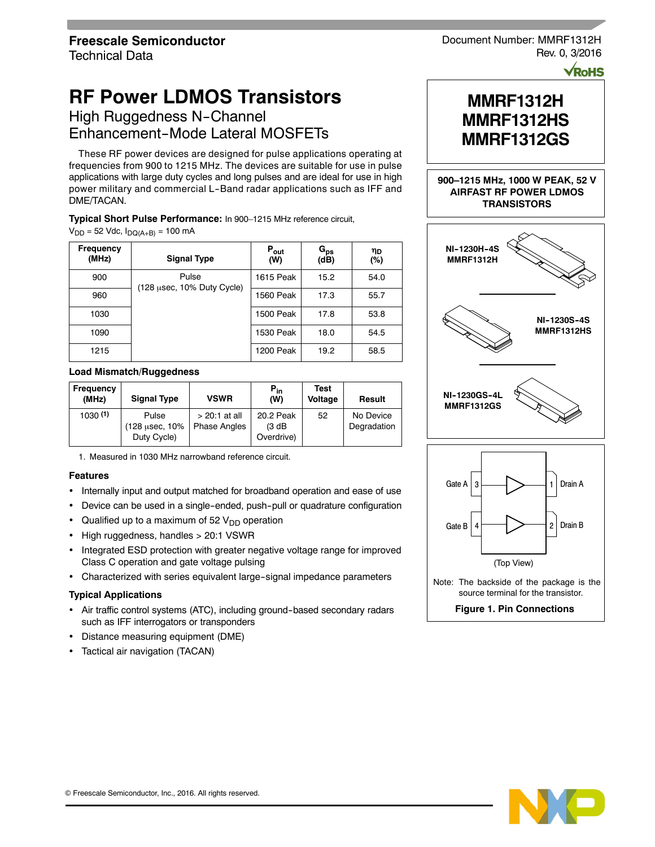# **RF Power LDMOS Transistors**

High Ruggedness N-Channel Enhancement-Mode Lateral MOSFETs

These RF power devices are designed for pulse applications operating at frequencies from 900 to 1215 MHz. The devices are suitable for use in pulse applications with large duty cycles and long pulses and are ideal for use in high power military and commercial L--Band radar applications such as IFF and DME/TACAN.

**Typical Short Pulse Performance:** In 900–1215 MHz reference circuit,

 $V_{DD}$  = 52 Vdc,  $I_{DQ(A+B)}$  = 100 mA

| <b>Frequency</b><br>(MHz) | <b>Signal Type</b>                  | $P_{\text{out}}$<br>(W) | $G_{ps}$<br>(dB) | ηD<br>(%) |
|---------------------------|-------------------------------------|-------------------------|------------------|-----------|
| 900                       | Pulse<br>(128 usec, 10% Duty Cycle) | 1615 Peak               | 15.2             | 54.0      |
| 960                       |                                     | 1560 Peak               | 17.3             | 55.7      |
| 1030                      |                                     | 1500 Peak               | 17.8             | 53.8      |
| 1090                      |                                     | 1530 Peak               | 18.0             | 54.5      |
| 1215                      |                                     | 1200 Peak               | 19.2             | 58.5      |

#### **Load Mismatch/Ruggedness**

| Frequency<br>(MHz) | <b>Signal Type</b> | <b>VSWR</b>         | $P_{in}$<br>(W) | <b>Test</b><br>Voltage | Result      |
|--------------------|--------------------|---------------------|-----------------|------------------------|-------------|
| 1030(1)            | Pulse              | $>$ 20:1 at all     | 20.2 Peak       | 52                     | No Device   |
|                    | (128 usec, 10%)    | <b>Phase Angles</b> | (3 dB)          |                        | Degradation |
|                    | Duty Cycle)        |                     | Overdrive)      |                        |             |

1. Measured in 1030 MHz narrowband reference circuit.

# **Features**

- Internally input and output matched for broadband operation and ease of use
- Device can be used in a single-ended, push-pull or quadrature configuration
- Qualified up to a maximum of 52  $V<sub>DD</sub>$  operation
- High ruggedness, handles > 20:1 VSWR
- Integrated ESD protection with greater negative voltage range for improved Class C operation and gate voltage pulsing
- Characterized with series equivalent large-signal impedance parameters

# **Typical Applications**

- Air traffic control systems (ATC), including ground-based secondary radars such as IFF interrogators or transponders
- Distance measuring equipment (DME)
- Tactical air navigation (TACAN)

Document Number: MMRF1312H Rev. 0, 3/2016

**VRoHS** 

# **MMRF1312H MMRF1312HS MMRF1312GS**

#### **900–1215 MHz, 1000 W PEAK, 52 V AIRFAST RF POWER LDMOS TRANSISTORS**





source terminal for the transistor.

**Figure 1. Pin Connections**

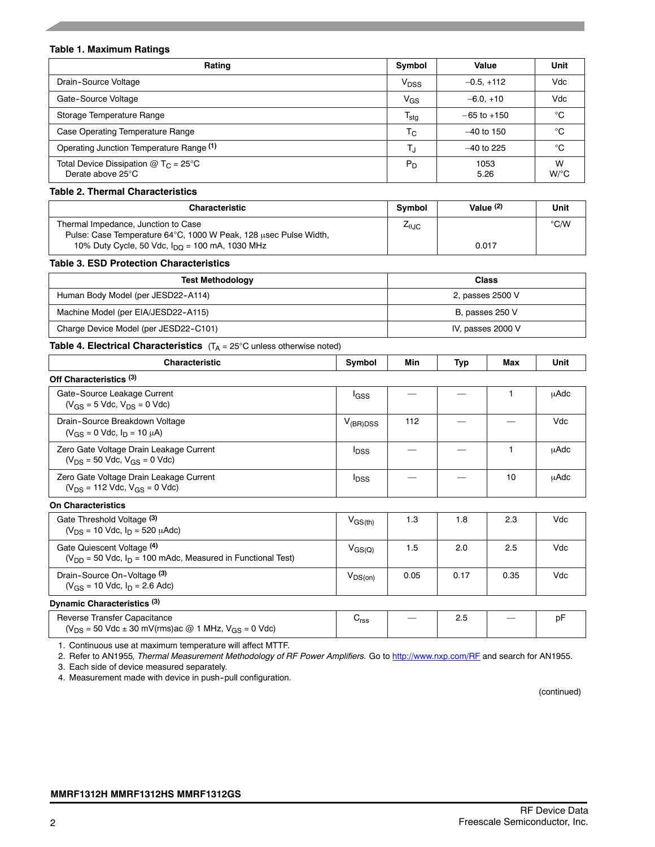#### **Table 1. Maximum Ratings**

| Rating                                                                | Symbol                    | Value           | Unit                      |
|-----------------------------------------------------------------------|---------------------------|-----------------|---------------------------|
| Drain-Source Voltage                                                  | V <sub>DSS</sub>          | $-0.5. +112$    | Vdc                       |
| Gate-Source Voltage                                                   | $V_{GS}$                  | $-6.0.+10$      | Vdc                       |
| Storage Temperature Range                                             | $\mathsf{T_{\text{stg}}}$ | $-65$ to $+150$ | °C                        |
| Case Operating Temperature Range                                      | $T_{\rm C}$               | $-40$ to 150    | °C                        |
| Operating Junction Temperature Range (1)                              | $T_{\rm J}$               | $-40$ to 225    | °C                        |
| Total Device Dissipation @ T <sub>C</sub> = 25°C<br>Derate above 25°C | $P_D$                     | 1053<br>5.26    | W<br>$W$ <sup>o</sup> $C$ |

#### **Table 2. Thermal Characteristics**

| <b>Characteristic</b>                                                                                   | <b>Symbol</b>          | Value $(2)$ | Unit          |
|---------------------------------------------------------------------------------------------------------|------------------------|-------------|---------------|
| Thermal Impedance, Junction to Case<br>Pulse: Case Temperature 64°C, 1000 W Peak, 128 usec Pulse Width, | $Z_{\theta \text{JC}}$ |             | $\degree$ C/W |
| 10% Duty Cycle, 50 Vdc, $I_{\text{DO}}$ = 100 mA, 1030 MHz                                              |                        | 0.017       |               |

#### **Table 3. ESD Protection Characteristics**

| <b>Test Methodology</b>               | Class             |
|---------------------------------------|-------------------|
| Human Body Model (per JESD22-A114)    | 2, passes 2500 V  |
| Machine Model (per EIA/JESD22-A115)   | B, passes 250 V   |
| Charge Device Model (per JESD22-C101) | IV, passes 2000 V |

#### **Table 4. Electrical Characteristics**  $(T_A = 25^{\circ}C \text{ unless otherwise noted})$

| <b>Characteristic</b>                                                                            | Symbol                  | Min  | Typ  | Max  | Unit        |
|--------------------------------------------------------------------------------------------------|-------------------------|------|------|------|-------------|
| Off Characteristics (3)                                                                          |                         |      |      |      |             |
| Gate-Source Leakage Current<br>$(V_{GS} = 5$ Vdc, $V_{DS} = 0$ Vdc)                              | <b>I</b> GSS            |      |      |      | μAdc        |
| Drain-Source Breakdown Voltage<br>$(V_{GS} = 0$ Vdc, $I_D = 10 \mu A$ )                          | $V_{(BR)DSS}$           | 112  |      |      | Vdc         |
| Zero Gate Voltage Drain Leakage Current<br>$(V_{DS} = 50$ Vdc, $V_{GS} = 0$ Vdc)                 | <b>I</b> <sub>DSS</sub> |      |      |      | <b>uAdc</b> |
| Zero Gate Voltage Drain Leakage Current<br>$(V_{DS} = 112$ Vdc, $V_{GS} = 0$ Vdc)                | <b>I</b> <sub>DSS</sub> |      |      | 10   | <b>µAdc</b> |
| <b>On Characteristics</b>                                                                        |                         |      |      |      |             |
| Gate Threshold Voltage (3)<br>$(V_{DS} = 10$ Vdc, $I_D = 520$ $\mu$ Adc)                         | $V_{GS(th)}$            | 1.3  | 1.8  | 2.3  | Vdc         |
| Gate Quiescent Voltage (4)<br>$(V_{DD} = 50$ Vdc, $I_D = 100$ mAdc, Measured in Functional Test) | $V_{\rm GS(Q)}$         | 1.5  | 2.0  | 2.5  | Vdc         |
| Drain-Source On-Voltage (3)<br>$(V_{GS} = 10$ Vdc, $I_D = 2.6$ Adc)                              | $V_{DS(on)}$            | 0.05 | 0.17 | 0.35 | Vdc         |

#### **Dynamic Characteristics (3)**

| Reverse Transfer Capacitance<br>$(V_{DS} = 50$ Vdc $\pm$ 30 mV(rms)ac @ 1 MHz, V <sub>GS</sub> = 0 Vdc) | ്rss | $\hspace{0.1mm}-\hspace{0.1mm}$ |  |  |
|---------------------------------------------------------------------------------------------------------|------|---------------------------------|--|--|
|                                                                                                         |      |                                 |  |  |

1. Continuous use at maximum temperature will affect MTTF.

2. Refer to AN1955*, Thermal Measurement Methodology of RF Power Amplifiers.* Go to http://www.nxp.com/RF and search for AN1955.

3. Each side of device measured separately.

4. Measurement made with device in push--pull configuration.

(continued)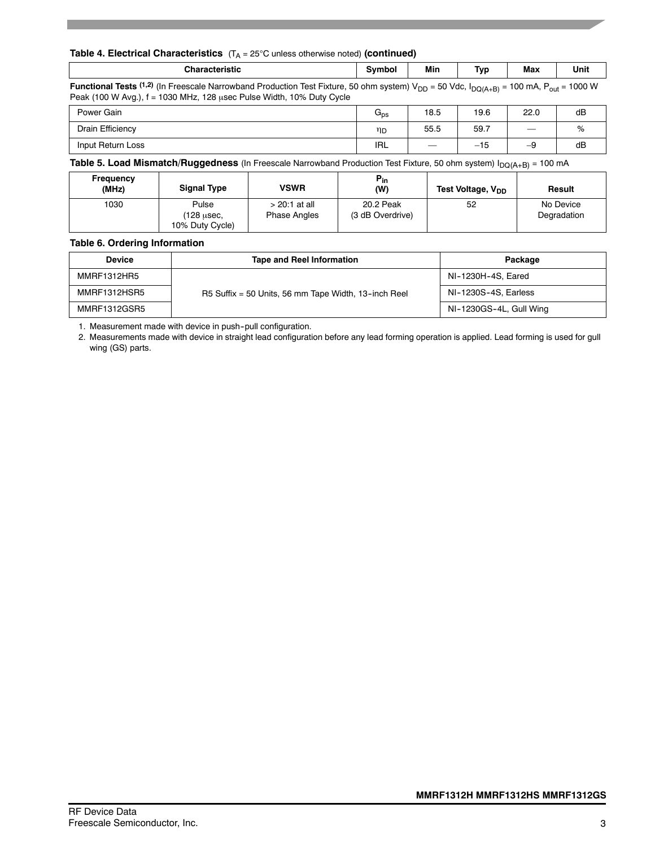#### **Table 4. Electrical Characteristics** (T<sub>A</sub> = 25°C unless otherwise noted) (continued)

| Characteristic<br>eristic." | svmbol | Min | $\overline{\phantom{a}}$<br>Tvr. | Max | Unit |
|-----------------------------|--------|-----|----------------------------------|-----|------|
|                             |        |     |                                  |     |      |

**Functional Tests** (1,2) (In Freescale Narrowband Production Test Fixture, 50 ohm system) V<sub>DD</sub> = 50 Vdc, I<sub>DQ(A+B)</sub> = 100 mA, P<sub>out</sub> = 1000 W Peak (100 W Avg.),  $f = 1030$  MHz, 128 usec Pulse Width, 10% Duty Cycle

| Power Gain        | पns | 18.5 | 19.6  | 22.0              | dB             |
|-------------------|-----|------|-------|-------------------|----------------|
| Drain Efficiency  | ηD  | 55.5 | 59.7  | $\hspace{0.05cm}$ | $\sqrt{\circ}$ |
| Input Return Loss | IRL |      | $-15$ | –৬                | dB             |

**Table 5. Load Mismatch/Ruggedness** (In Freescale Narrowband Production Test Fixture, 50 ohm system) I<sub>DQ(A+B)</sub> = 100 mA

| Frequency<br>(MHz) | <b>Signal Type</b>            | <b>VSWR</b>         | $P_{in}$<br>(W)  | Test Voltage, V <sub>DD</sub> | Result      |
|--------------------|-------------------------------|---------------------|------------------|-------------------------------|-------------|
| 1030               | Pulse                         | > 20:1 at all       | 20.2 Peak        | 52                            | No Device   |
|                    | (128 usec.<br>10% Duty Cycle) | <b>Phase Angles</b> | (3 dB Overdrive) |                               | Degradation |

#### **Table 6. Ordering Information**

| <b>Device</b>      | <b>Tape and Reel Information</b>                     | Package                 |
|--------------------|------------------------------------------------------|-------------------------|
| <b>MMRF1312HR5</b> |                                                      | NI-1230H-4S, Eared      |
| MMRF1312HSR5       | R5 Suffix = 50 Units, 56 mm Tape Width, 13-inch Reel | NI-1230S-4S, Earless    |
| MMRF1312GSR5       |                                                      | NI-1230GS-4L, Gull Wing |

1. Measurement made with device in push--pull configuration.

2. Measurements made with device in straight lead configuration before any lead forming operation is applied. Lead forming is used for gull wing (GS) parts.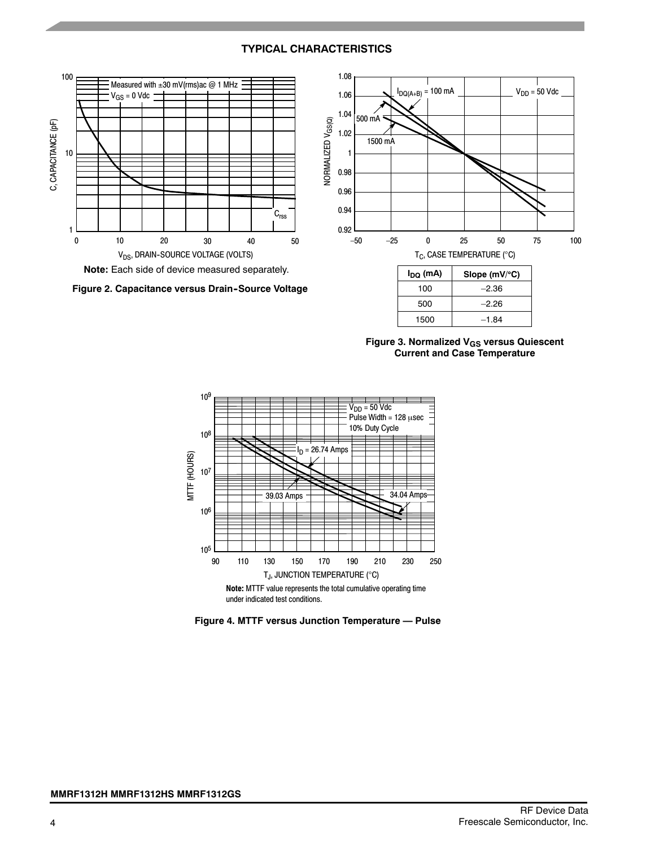# **TYPICAL CHARACTERISTICS**



**Figure 3. Normalized VGS versus Quiescent Current and Case Temperature**



**Figure 4. MTTF versus Junction Temperature — Pulse**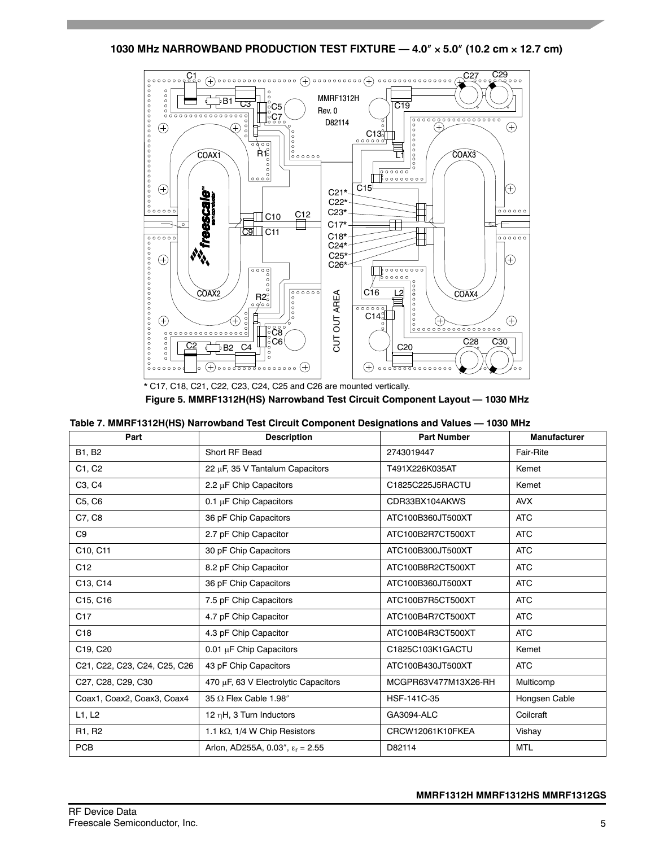**1030 MHz NARROWBAND PRODUCTION TEST FIXTURE — 4.0 5.0 (10.2 cm 12.7 cm)**



**Figure 5. MMRF1312H(HS) Narrowband Test Circuit Component Layout — 1030 MHz**

| Table 7. MMRF1312H(HS) Narrowband Test Circuit Component Designations and Values - 1030 MHz |  |  |  |  |  |  |  |  |  |  |
|---------------------------------------------------------------------------------------------|--|--|--|--|--|--|--|--|--|--|
|---------------------------------------------------------------------------------------------|--|--|--|--|--|--|--|--|--|--|

| Part                            | <b>Description</b>                        | <b>Part Number</b>   | <b>Manufacturer</b> |
|---------------------------------|-------------------------------------------|----------------------|---------------------|
| <b>B1, B2</b>                   | Short RF Bead                             | 2743019447           | Fair-Rite           |
| C1, C2                          | 22 $\mu$ F, 35 V Tantalum Capacitors      | T491X226K035AT       | Kemet               |
| C <sub>3</sub> , C <sub>4</sub> | 2.2 µF Chip Capacitors                    | C1825C225J5RACTU     | Kemet               |
| C5, C6                          | 0.1 $\mu$ F Chip Capacitors               | CDR33BX104AKWS       | <b>AVX</b>          |
| C7, C8                          | 36 pF Chip Capacitors                     | ATC100B360JT500XT    | <b>ATC</b>          |
| C9                              | 2.7 pF Chip Capacitor                     | ATC100B2R7CT500XT    | <b>ATC</b>          |
| C10, C11                        | 30 pF Chip Capacitors                     | ATC100B300JT500XT    | <b>ATC</b>          |
| C <sub>12</sub>                 | 8.2 pF Chip Capacitor                     | ATC100B8R2CT500XT    | <b>ATC</b>          |
| C13, C14                        | 36 pF Chip Capacitors                     | ATC100B360JT500XT    | <b>ATC</b>          |
| C15, C16                        | 7.5 pF Chip Capacitors                    | ATC100B7R5CT500XT    | <b>ATC</b>          |
| C <sub>17</sub>                 | 4.7 pF Chip Capacitor                     | ATC100B4R7CT500XT    | <b>ATC</b>          |
| C <sub>18</sub>                 | 4.3 pF Chip Capacitor                     | ATC100B4R3CT500XT    | <b>ATC</b>          |
| C19, C20                        | $0.01 \mu$ F Chip Capacitors              | C1825C103K1GACTU     | Kemet               |
| C21, C22, C23, C24, C25, C26    | 43 pF Chip Capacitors                     | ATC100B430JT500XT    | <b>ATC</b>          |
| C27, C28, C29, C30              | 470 µF, 63 V Electrolytic Capacitors      | MCGPR63V477M13X26-RH | Multicomp           |
| Coax1, Coax2, Coax3, Coax4      | 35 $\Omega$ Flex Cable 1.98"              | HSF-141C-35          | Hongsen Cable       |
| L1, L2                          | 12 nH, 3 Turn Inductors                   | GA3094-ALC           | Coilcraft           |
| R <sub>1</sub> , R <sub>2</sub> | 1.1 k $\Omega$ , 1/4 W Chip Resistors     | CRCW12061K10FKEA     | Vishay              |
| <b>PCB</b>                      | Arlon, AD255A, 0.03", $\epsilon_r$ = 2.55 | D82114               | <b>MTL</b>          |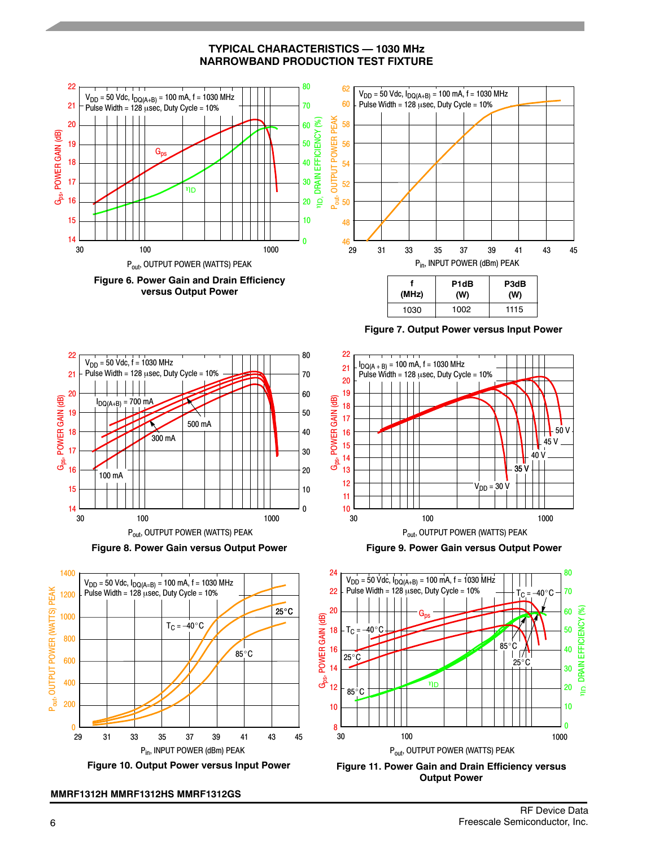**TYPICAL CHARACTERISTICS — 1030 MHz NARROWBAND PRODUCTION TEST FIXTURE**









**MMRF1312H MMRF1312HS MMRF1312GS**

**Figure 7. Output Power versus Input Power**



**Figure 9. Power Gain versus Output Power**



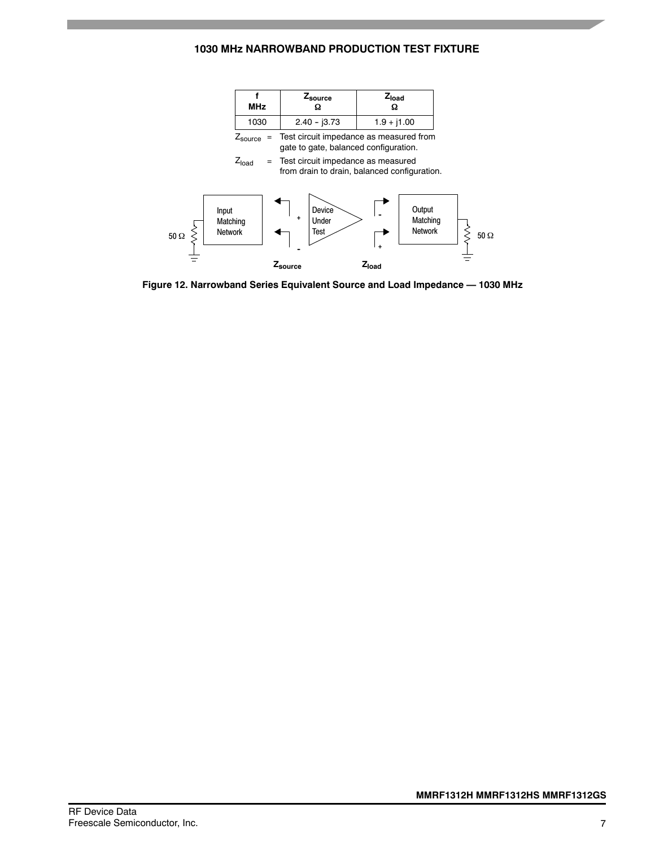# **1030 MHz NARROWBAND PRODUCTION TEST FIXTURE**



**Figure 12. Narrowband Series Equivalent Source and Load Impedance — 1030 MHz**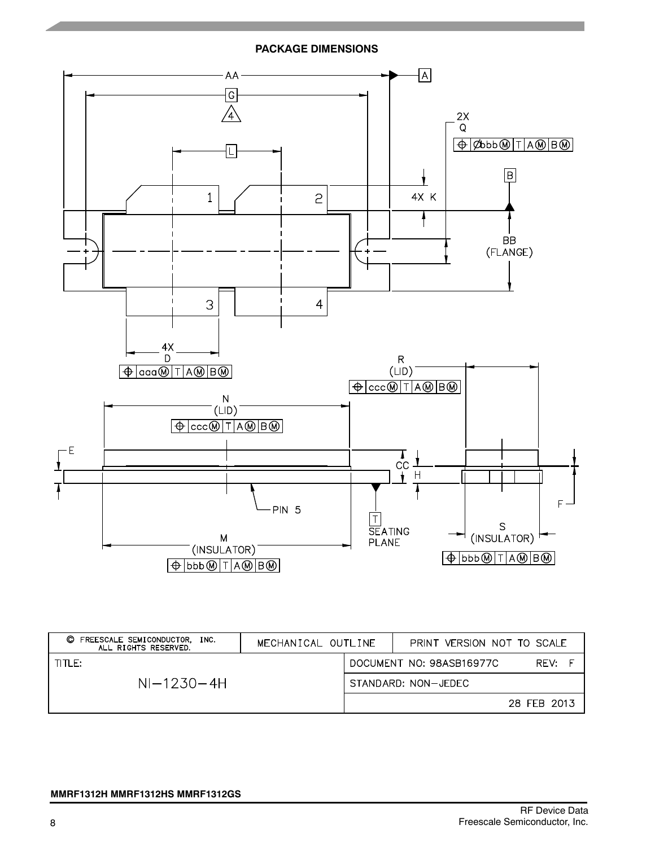**PACKAGE DIMENSIONS**



| FREESCALE SEMICONDUCTOR. INC.<br>O<br>ALL RIGHTS RESERVED. | MECHANICAL OUTLINE | PRINT VERSION NOT TO SCALE |             |
|------------------------------------------------------------|--------------------|----------------------------|-------------|
| TITLE:                                                     |                    | DOCUMENT NO: 98ASB16977C   | RFV:        |
| $NI-1230-4H$                                               |                    | STANDARD: NON-JEDEC        |             |
|                                                            |                    |                            | 28 FEB 2013 |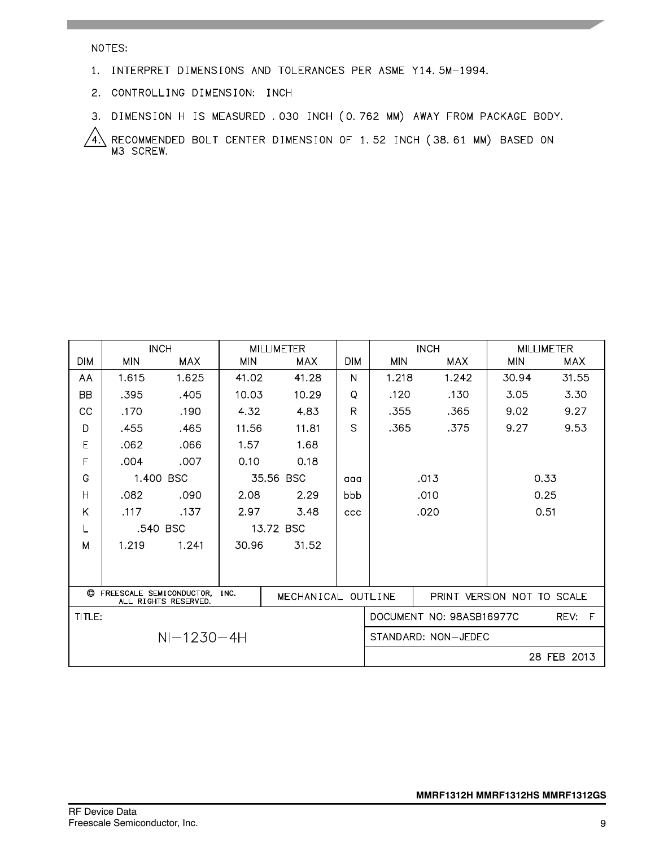#### NOTES:

- 1. INTERPRET DIMENSIONS AND TOLERANCES PER ASME Y14.5M-1994.
- 2. CONTROLLING DIMENSION: INCH
- 3. DIMENSION H IS MEASURED . 030 INCH (0.762 MM) AWAY FROM PACKAGE BODY.

RECOMMENDED BOLT CENTER DIMENSION OF 1.52 INCH (38.61 MM) BASED ON M3 SCREW. 4)

|                |                                                                                  | <b>INCH</b> | <b>MILLIMETER</b> |            |            |                     | <b>INCH</b>              |                            | <b>MILLIMETER</b> |  |
|----------------|----------------------------------------------------------------------------------|-------------|-------------------|------------|------------|---------------------|--------------------------|----------------------------|-------------------|--|
| <b>DIM</b>     | <b>MIN</b>                                                                       | MAX         | <b>MIN</b>        | <b>MAX</b> | <b>DIM</b> | <b>MIN</b>          | <b>MAX</b>               | <b>MIN</b>                 | <b>MAX</b>        |  |
| AA             | 1.615                                                                            | 1.625       | 41.02             | 41.28      | N          | 1.218               | 1.242                    | 30.94                      | 31.55             |  |
| <b>BB</b>      | .395                                                                             | .405        | 10.03             | 10.29      | Q          | .120                | .130                     | 3.05                       | 3.30              |  |
| CC             | .170                                                                             | .190        | 4.32              | 4.83       | R          | .355                | .365                     | 9.02                       | 9.27              |  |
| D              | .455                                                                             | .465        | 11.56             | 11.81      | S          | .365                | .375                     | 9.27                       | 9.53              |  |
| E              | .062                                                                             | .066        | 1.57              | 1.68       |            |                     |                          |                            |                   |  |
| F              | .004                                                                             | .007        | 0.10              | 0.18       |            |                     |                          |                            |                   |  |
| G              |                                                                                  | 1.400 BSC   |                   | 35.56 BSC  | aaa        | .013                |                          |                            | 0.33              |  |
| $\overline{H}$ | .082                                                                             | .090        | 2.08              | 2.29       | bbb        |                     | .010                     |                            | 0.25              |  |
| Κ              | .117                                                                             | .137        | 2.97              | 3.48       | <b>CCC</b> |                     | .020                     |                            | 0.51              |  |
| ∟              |                                                                                  | .540 BSC    |                   | 13.72 BSC  |            |                     |                          |                            |                   |  |
| M              | 1.219                                                                            | 1.241       | 30.96             | 31.52      |            |                     |                          |                            |                   |  |
|                |                                                                                  |             |                   |            |            |                     |                          |                            |                   |  |
|                |                                                                                  |             |                   |            |            |                     |                          |                            |                   |  |
|                | C FREESCALE SEMICONDUCTOR,<br>INC.<br>MECHANICAL OUTLINE<br>ALL RIGHTS RESERVED. |             |                   |            |            |                     |                          | PRINT VERSION NOT TO SCALE |                   |  |
| TITLE:         |                                                                                  |             |                   |            |            |                     | DOCUMENT NO: 98ASB16977C |                            | REV: F            |  |
| $NI-1230-4H$   |                                                                                  |             |                   |            |            | STANDARD: NON-JEDEC |                          |                            |                   |  |
|                |                                                                                  |             |                   |            |            |                     |                          |                            | 28 FEB 2013       |  |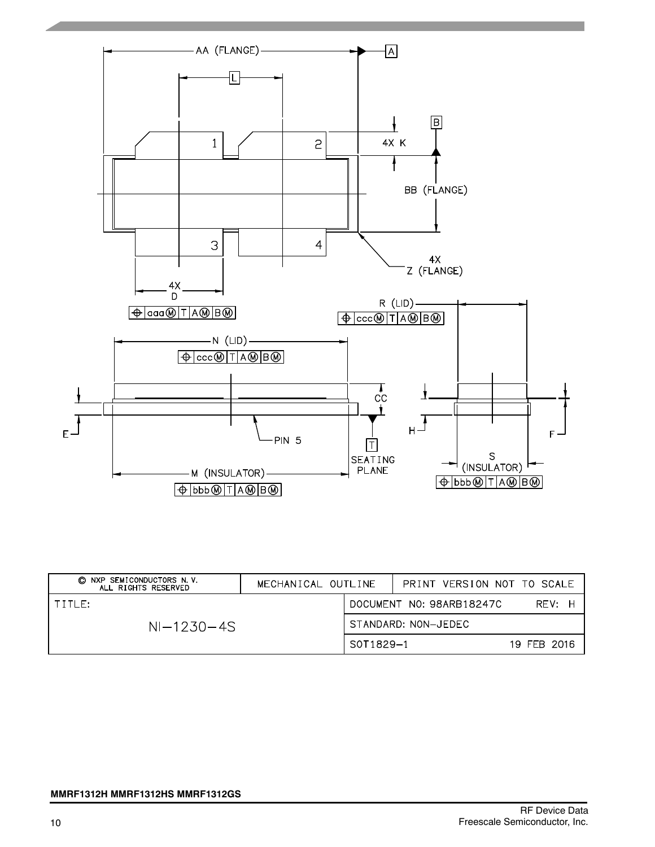

| © NXP SEMICONDUCTORS N.V.<br>ALL RIGHTS RESERVED | MECHANICAL OUTLINE |                     | PRINT VERSION NOT TO SCALE |             |
|--------------------------------------------------|--------------------|---------------------|----------------------------|-------------|
| TITLE:                                           |                    |                     | DOCUMENT NO: 98ARB18247C   | RFV: H      |
| $NI-1230-4S$                                     |                    | STANDARD: NON-JEDEC |                            |             |
|                                                  |                    | S0T1829-1           |                            | 19 FFB 2016 |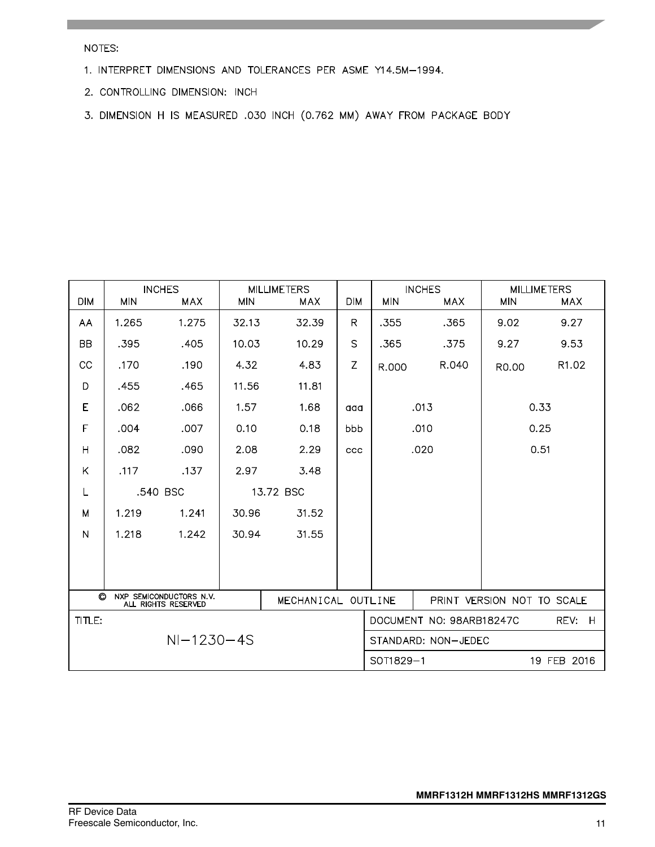NOTES:

- 1. INTERPRET DIMENSIONS AND TOLERANCES PER ASME Y14.5M-1994.
- 2. CONTROLLING DIMENSION: INCH
- 3. DIMENSION H IS MEASURED .030 INCH (0.762 MM) AWAY FROM PACKAGE BODY

| <b>DIM</b> | <b>MIN</b>                                                                | <b>INCHES</b><br>MAX | <b>MIN</b> | <b>MILLIMETERS</b><br><b>MAX</b> | <b>DIM</b>   | <b>MIN</b>          | <b>INCHES</b><br>MAX     | <b>MIN</b>                 | <b>MILLIMETERS</b><br><b>MAX</b> |
|------------|---------------------------------------------------------------------------|----------------------|------------|----------------------------------|--------------|---------------------|--------------------------|----------------------------|----------------------------------|
| AA         | 1.265                                                                     | 1.275                | 32.13      | 32.39                            | R            | .355                | .365                     | 9.02                       | 9.27                             |
| <b>BB</b>  | .395                                                                      | .405                 | 10.03      | 10.29                            | $\mathsf{S}$ | .365                | .375                     | 9.27                       | 9.53                             |
| CC         | .170                                                                      | .190                 | 4.32       | 4.83                             | Z            | R.000               | R.040                    | R0.00                      | R1.02                            |
| D          | .455                                                                      | .465                 | 11.56      | 11.81                            |              |                     |                          |                            |                                  |
| E          | .062                                                                      | .066                 | 1.57       | 1.68                             | aaa          |                     | .013                     |                            | 0.33                             |
| F          | .004                                                                      | .007                 | 0.10       | 0.18                             | bbb          |                     | .010                     |                            | 0.25                             |
| Η          | .082                                                                      | .090                 | 2.08       | 2.29                             | ccc          |                     | .020                     | 0.51                       |                                  |
| Κ          | .117                                                                      | .137                 | 2.97       | 3.48                             |              |                     |                          |                            |                                  |
| L          | .540 BSC                                                                  |                      |            | 13.72 BSC                        |              |                     |                          |                            |                                  |
| M          | 1.219                                                                     | 1.241                | 30.96      | 31.52                            |              |                     |                          |                            |                                  |
| N          | 1.218                                                                     | 1.242                | 30.94      | 31.55                            |              |                     |                          |                            |                                  |
|            |                                                                           |                      |            |                                  |              |                     |                          |                            |                                  |
|            |                                                                           |                      |            |                                  |              |                     |                          |                            |                                  |
|            | O<br>NXP SEMICONDUCTORS N.V.<br>MECHANICAL OUTLINE<br>ALL RIGHTS RESERVED |                      |            |                                  |              |                     |                          | PRINT VERSION NOT TO SCALE |                                  |
| TITLE:     |                                                                           |                      |            |                                  |              |                     | DOCUMENT NO: 98ARB18247C |                            | REV:<br>H                        |
|            |                                                                           | $NI-1230-4S$         |            |                                  |              | STANDARD: NON-JEDEC |                          |                            |                                  |
|            |                                                                           |                      |            |                                  |              | SOT1829-1           |                          |                            | 19 FEB 2016                      |

RF Device Data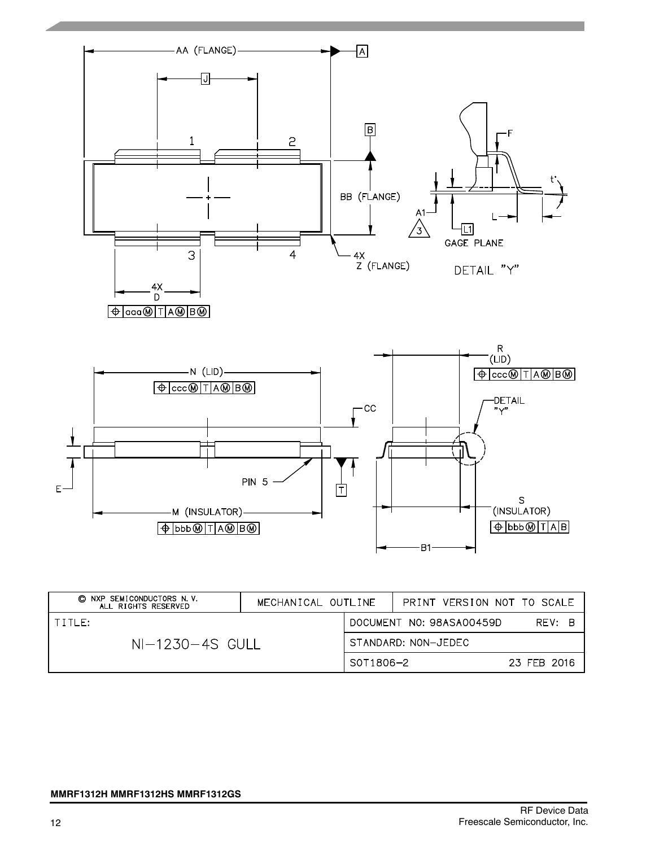

| © NXP SEMICONDUCTORS N.V.<br>ALL RIGHTS RESERVED | MECHANICAL OUTLINE |                     | PRINT VERSION NOT TO SCALE |             |
|--------------------------------------------------|--------------------|---------------------|----------------------------|-------------|
| $1$ title:                                       |                    |                     | DOCUMENT NO: 98ASA00459D   | RFV: B      |
| $NI-1230-4S$ GULL                                |                    | STANDARD: NON-JEDEC |                            |             |
|                                                  |                    | S0T1806-2           |                            | 23 FEB 2016 |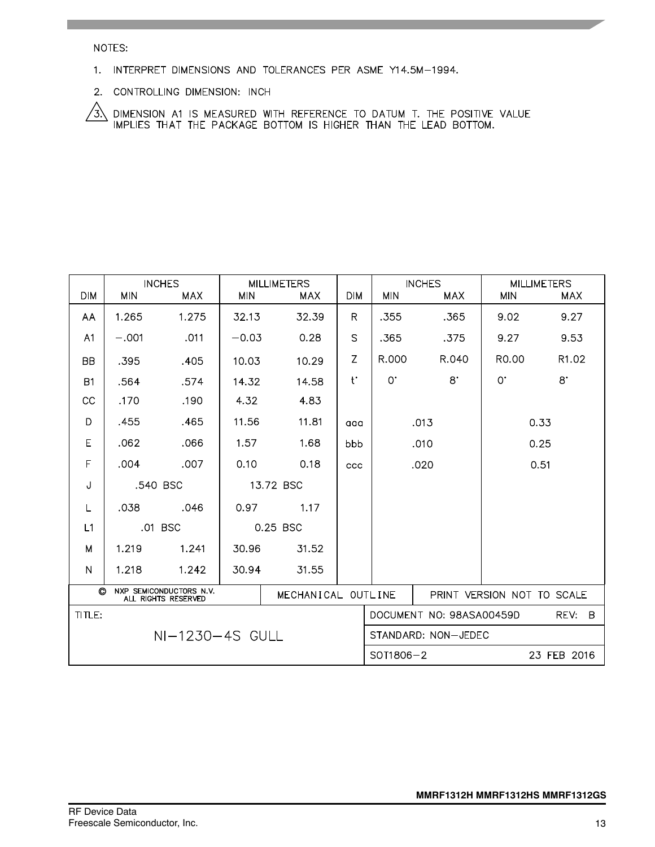NOTES:

- 1. INTERPRET DIMENSIONS AND TOLERANCES PER ASME Y14.5M-1994.
- 2. CONTROLLING DIMENSION: INCH

 $\sqrt{3}$  dimension at is measured with reference to datum t. The positive value implies that the package bottom is higher than the lead bottom.

| <b>DIM</b>                                                                      | <b>MIN</b> | <b>INCHES</b><br><b>MAX</b> | <b>MIN</b> | <b>MILLIMETERS</b><br>MAX. | <b>DIM</b> | <b>MIN</b>                 | <b>INCHES</b><br><b>MAX</b> | <b>MIN</b>         | <b>MILLIMETERS</b><br>MAX. |
|---------------------------------------------------------------------------------|------------|-----------------------------|------------|----------------------------|------------|----------------------------|-----------------------------|--------------------|----------------------------|
| AA                                                                              | 1.265      | 1.275                       | 32.13      | 32.39                      | R.         | .355                       | .365                        | 9.02               | 9.27                       |
| A <sub>1</sub>                                                                  | $-.001$    | .011                        | $-0.03$    | 0.28                       | S          | .365                       | .375                        | 9.27               | 9.53                       |
| <b>BB</b>                                                                       | .395       | .405                        | 10.03      | 10.29                      | Z          | R.000                      | R.040                       | R <sub>0</sub> .00 | R <sub>1</sub> .02         |
| <b>B1</b>                                                                       | .564       | .574                        | 14.32      | 14.58                      | $t^*$      | $0^{\circ}$                | $8^{\circ}$                 | $0^{\cdot}$        | $8^{\circ}$                |
| <sub>CC</sub>                                                                   | .170       | .190                        | 4.32       | 4.83                       |            |                            |                             |                    |                            |
| D                                                                               | .455       | .465                        | 11.56      | 11.81                      | aaa        |                            | .013                        |                    | 0.33                       |
| E                                                                               | .062       | .066                        | 1.57       | 1.68                       | bbb        | .010                       |                             | 0.25               |                            |
| F                                                                               | .004       | .007                        | 0.10       | 0.18                       | <b>CCC</b> | .020                       |                             | 0.51               |                            |
| J                                                                               | .540 BSC   |                             |            | 13.72 BSC                  |            |                            |                             |                    |                            |
| L                                                                               | .038       | .046                        | 0.97       | 1.17                       |            |                            |                             |                    |                            |
| L1                                                                              |            | .01 BSC                     |            | 0.25 BSC                   |            |                            |                             |                    |                            |
| M                                                                               | 1.219      | 1.241                       | 30.96      | 31.52                      |            |                            |                             |                    |                            |
| N                                                                               | 1.218      | 1.242                       | 30.94      | 31.55                      |            |                            |                             |                    |                            |
| $\circ$<br>NXP SEMICONDUCTORS N.V.<br>MECHANICAL OUTLINE<br>ALL RIGHTS RESERVED |            |                             |            |                            |            | PRINT VERSION NOT TO SCALE |                             |                    |                            |
| TITLE:                                                                          |            |                             |            |                            |            |                            | DOCUMENT NO: 98ASA00459D    |                    | REV: B                     |
|                                                                                 |            | NI-1230-4S GULL             |            |                            |            | STANDARD: NON-JEDEC        |                             |                    |                            |
|                                                                                 |            |                             |            |                            |            | $SOT1806 - 2$              |                             |                    | 23 FEB 2016                |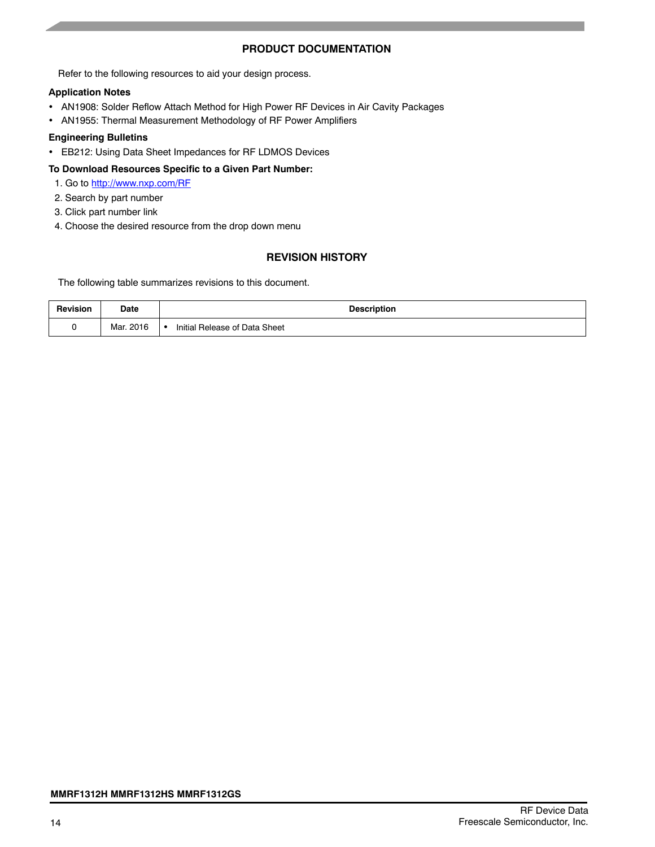# **PRODUCT DOCUMENTATION**

Refer to the following resources to aid your design process.

#### **Application Notes**

- AN1908: Solder Reflow Attach Method for High Power RF Devices in Air Cavity Packages
- AN1955: Thermal Measurement Methodology of RF Power Amplifiers

#### **Engineering Bulletins**

EB212: Using Data Sheet Impedances for RF LDMOS Devices

#### **To Download Resources Specific to a Given Part Number:**

- 1. Go to http://www.nxp.com/RF
- 2. Search by part number
- 3. Click part number link
- 4. Choose the desired resource from the drop down menu

# **REVISION HISTORY**

The following table summarizes revisions to this document.

| Revision | <b>Date</b> | <b>Description</b>            |
|----------|-------------|-------------------------------|
|          | Mar. 2016   | Initial Release of Data Sheet |